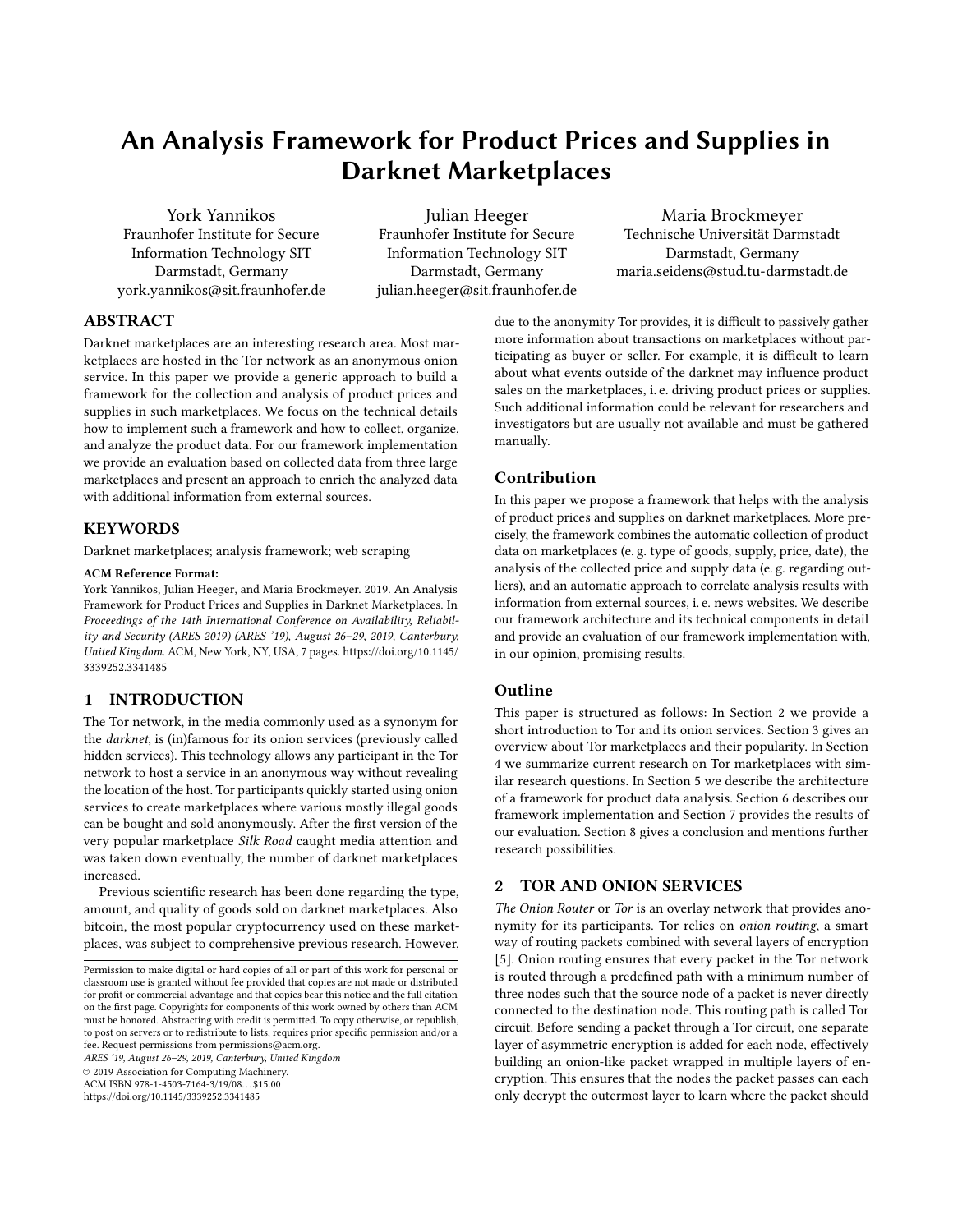# <span id="page-0-1"></span>An Analysis Framework for Product Prices and Supplies in Darknet Marketplaces

York Yannikos Fraunhofer Institute for Secure Information Technology SIT Darmstadt, Germany york.yannikos@sit.fraunhofer.de

Julian Heeger Fraunhofer Institute for Secure Information Technology SIT Darmstadt, Germany julian.heeger@sit.fraunhofer.de

Maria Brockmeyer Technische Universität Darmstadt Darmstadt, Germany maria.seidens@stud.tu-darmstadt.de

# ABSTRACT

Darknet marketplaces are an interesting research area. Most marketplaces are hosted in the Tor network as an anonymous onion service. In this paper we provide a generic approach to build a framework for the collection and analysis of product prices and supplies in such marketplaces. We focus on the technical details how to implement such a framework and how to collect, organize, and analyze the product data. For our framework implementation we provide an evaluation based on collected data from three large marketplaces and present an approach to enrich the analyzed data with additional information from external sources.

# **KEYWORDS**

Darknet marketplaces; analysis framework; web scraping

#### ACM Reference Format:

York Yannikos, Julian Heeger, and Maria Brockmeyer. 2019. An Analysis Framework for Product Prices and Supplies in Darknet Marketplaces. In Proceedings of the 14th International Conference on Availability, Reliability and Security (ARES 2019) (ARES '19), August 26–29, 2019, Canterbury, United Kingdom. ACM, New York, NY, USA, [7](#page-6-0) pages. [https://doi.org/10.1145/](https://doi.org/10.1145/3339252.3341485) [3339252.3341485](https://doi.org/10.1145/3339252.3341485)

# 1 INTRODUCTION

The Tor network, in the media commonly used as a synonym for the darknet, is (in)famous for its onion services (previously called hidden services). This technology allows any participant in the Tor network to host a service in an anonymous way without revealing the location of the host. Tor participants quickly started using onion services to create marketplaces where various mostly illegal goods can be bought and sold anonymously. After the first version of the very popular marketplace Silk Road caught media attention and was taken down eventually, the number of darknet marketplaces increased.

Previous scientific research has been done regarding the type, amount, and quality of goods sold on darknet marketplaces. Also bitcoin, the most popular cryptocurrency used on these marketplaces, was subject to comprehensive previous research. However,

ARES '19, August 26–29, 2019, Canterbury, United Kingdom

© 2019 Association for Computing Machinery.

ACM ISBN 978-1-4503-7164-3/19/08. . . \$15.00

<https://doi.org/10.1145/3339252.3341485>

due to the anonymity Tor provides, it is difficult to passively gather more information about transactions on marketplaces without participating as buyer or seller. For example, it is difficult to learn about what events outside of the darknet may influence product sales on the marketplaces, i. e. driving product prices or supplies. Such additional information could be relevant for researchers and investigators but are usually not available and must be gathered manually.

# Contribution

In this paper we propose a framework that helps with the analysis of product prices and supplies on darknet marketplaces. More precisely, the framework combines the automatic collection of product data on marketplaces (e. g. type of goods, supply, price, date), the analysis of the collected price and supply data (e. g. regarding outliers), and an automatic approach to correlate analysis results with information from external sources, i. e. news websites. We describe our framework architecture and its technical components in detail and provide an evaluation of our framework implementation with, in our opinion, promising results.

# Outline

This paper is structured as follows: In Section [2](#page-0-0) we provide a short introduction to Tor and its onion services. Section [3](#page-1-0) gives an overview about Tor marketplaces and their popularity. In Section [4](#page-1-1) we summarize current research on Tor marketplaces with similar research questions. In Section [5](#page-1-2) we describe the architecture of a framework for product data analysis. Section [6](#page-2-0) describes our framework implementation and Section [7](#page-3-0) provides the results of our evaluation. Section [8](#page-4-0) gives a conclusion and mentions further research possibilities.

# <span id="page-0-0"></span>2 TOR AND ONION SERVICES

The Onion Router or Tor is an overlay network that provides anonymity for its participants. Tor relies on onion routing, a smart way of routing packets combined with several layers of encryption [\[5\]](#page-5-0). Onion routing ensures that every packet in the Tor network is routed through a predefined path with a minimum number of three nodes such that the source node of a packet is never directly connected to the destination node. This routing path is called Tor circuit. Before sending a packet through a Tor circuit, one separate layer of asymmetric encryption is added for each node, effectively building an onion-like packet wrapped in multiple layers of encryption. This ensures that the nodes the packet passes can each only decrypt the outermost layer to learn where the packet should

Permission to make digital or hard copies of all or part of this work for personal or classroom use is granted without fee provided that copies are not made or distributed for profit or commercial advantage and that copies bear this notice and the full citation on the first page. Copyrights for components of this work owned by others than ACM must be honored. Abstracting with credit is permitted. To copy otherwise, or republish, to post on servers or to redistribute to lists, requires prior specific permission and/or a fee. Request permissions from permissions@acm.org.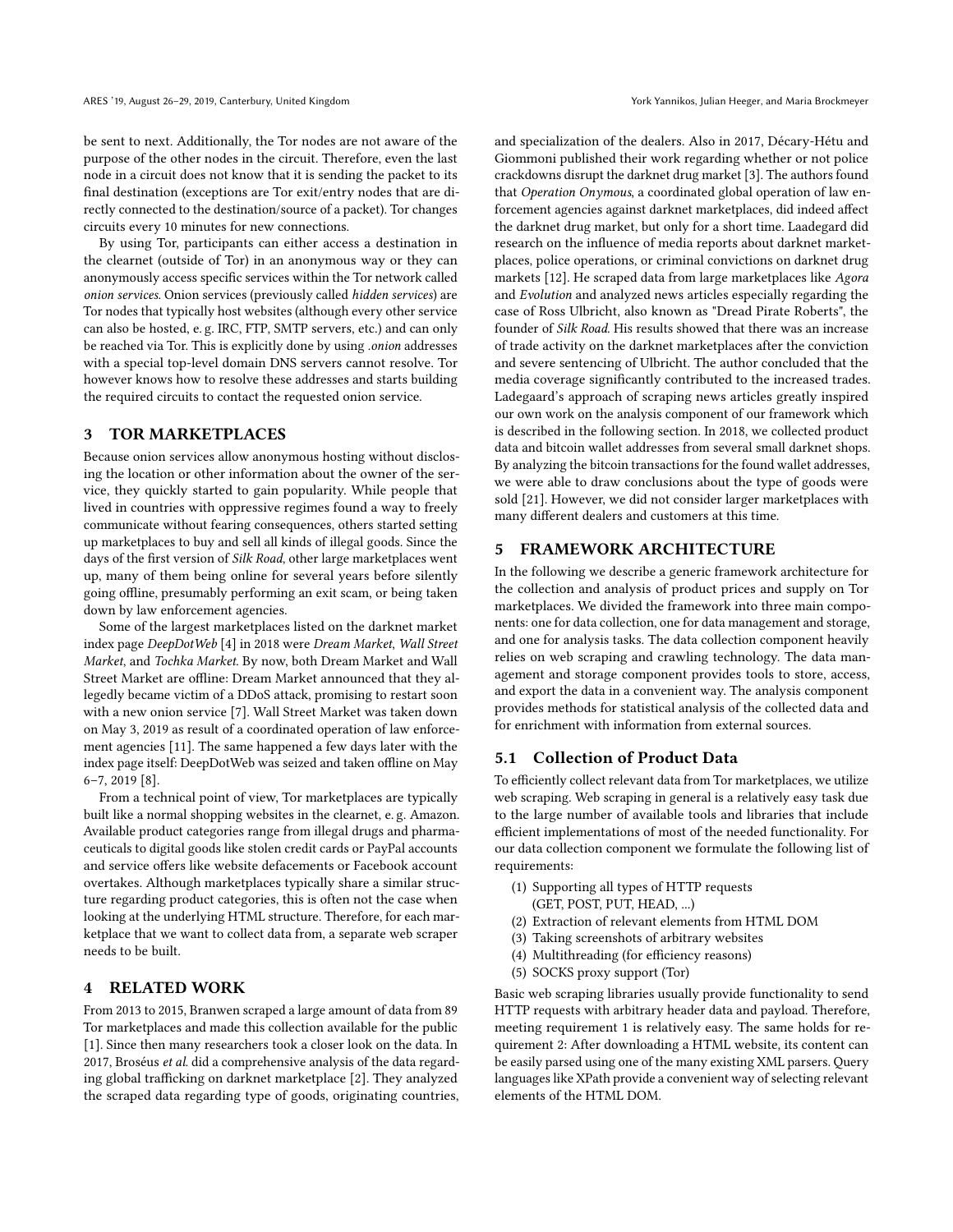be sent to next. Additionally, the Tor nodes are not aware of the purpose of the other nodes in the circuit. Therefore, even the last node in a circuit does not know that it is sending the packet to its final destination (exceptions are Tor exit/entry nodes that are directly connected to the destination/source of a packet). Tor changes circuits every 10 minutes for new connections.

By using Tor, participants can either access a destination in the clearnet (outside of Tor) in an anonymous way or they can anonymously access specific services within the Tor network called onion services. Onion services (previously called hidden services) are Tor nodes that typically host websites (although every other service can also be hosted, e. g. IRC, FTP, SMTP servers, etc.) and can only be reached via Tor. This is explicitly done by using .onion addresses with a special top-level domain DNS servers cannot resolve. Tor however knows how to resolve these addresses and starts building the required circuits to contact the requested onion service.

# <span id="page-1-0"></span>3 TOR MARKETPLACES

Because onion services allow anonymous hosting without disclosing the location or other information about the owner of the service, they quickly started to gain popularity. While people that lived in countries with oppressive regimes found a way to freely communicate without fearing consequences, others started setting up marketplaces to buy and sell all kinds of illegal goods. Since the days of the first version of Silk Road, other large marketplaces went up, many of them being online for several years before silently going offline, presumably performing an exit scam, or being taken down by law enforcement agencies.

Some of the largest marketplaces listed on the darknet market index page DeepDotWeb [\[4\]](#page-5-1) in 2018 were Dream Market, Wall Street Market, and Tochka Market. By now, both Dream Market and Wall Street Market are offline: Dream Market announced that they allegedly became victim of a DDoS attack, promising to restart soon with a new onion service [\[7\]](#page-6-1). Wall Street Market was taken down on May 3, 2019 as result of a coordinated operation of law enforcement agencies [\[11\]](#page-6-2). The same happened a few days later with the index page itself: DeepDotWeb was seized and taken offline on May 6–7, 2019 [\[8\]](#page-6-3).

From a technical point of view, Tor marketplaces are typically built like a normal shopping websites in the clearnet, e. g. Amazon. Available product categories range from illegal drugs and pharmaceuticals to digital goods like stolen credit cards or PayPal accounts and service offers like website defacements or Facebook account overtakes. Although marketplaces typically share a similar structure regarding product categories, this is often not the case when looking at the underlying HTML structure. Therefore, for each marketplace that we want to collect data from, a separate web scraper needs to be built.

# <span id="page-1-1"></span>4 RELATED WORK

From 2013 to 2015, Branwen scraped a large amount of data from 89 Tor marketplaces and made this collection available for the public [\[1\]](#page-5-2). Since then many researchers took a closer look on the data. In 2017, Broséus et al. did a comprehensive analysis of the data regarding global trafficking on darknet marketplace [\[2\]](#page-5-3). They analyzed the scraped data regarding type of goods, originating countries,

and specialization of the dealers. Also in 2017, Décary-Hétu and Giommoni published their work regarding whether or not police crackdowns disrupt the darknet drug market [\[3\]](#page-5-4). The authors found that Operation Onymous, a coordinated global operation of law enforcement agencies against darknet marketplaces, did indeed affect the darknet drug market, but only for a short time. Laadegard did research on the influence of media reports about darknet marketplaces, police operations, or criminal convictions on darknet drug markets [\[12\]](#page-6-4). He scraped data from large marketplaces like Agora and Evolution and analyzed news articles especially regarding the case of Ross Ulbricht, also known as "Dread Pirate Roberts", the founder of Silk Road. His results showed that there was an increase of trade activity on the darknet marketplaces after the conviction and severe sentencing of Ulbricht. The author concluded that the media coverage significantly contributed to the increased trades. Ladegaard's approach of scraping news articles greatly inspired our own work on the analysis component of our framework which is described in the following section. In 2018, we collected product data and bitcoin wallet addresses from several small darknet shops. By analyzing the bitcoin transactions for the found wallet addresses, we were able to draw conclusions about the type of goods were sold [\[21\]](#page-6-5). However, we did not consider larger marketplaces with many different dealers and customers at this time.

## <span id="page-1-2"></span>5 FRAMEWORK ARCHITECTURE

In the following we describe a generic framework architecture for the collection and analysis of product prices and supply on Tor marketplaces. We divided the framework into three main components: one for data collection, one for data management and storage, and one for analysis tasks. The data collection component heavily relies on web scraping and crawling technology. The data management and storage component provides tools to store, access, and export the data in a convenient way. The analysis component provides methods for statistical analysis of the collected data and for enrichment with information from external sources.

## <span id="page-1-3"></span>5.1 Collection of Product Data

To efficiently collect relevant data from Tor marketplaces, we utilize web scraping. Web scraping in general is a relatively easy task due to the large number of available tools and libraries that include efficient implementations of most of the needed functionality. For our data collection component we formulate the following list of requirements:

- (1) Supporting all types of HTTP requests (GET, POST, PUT, HEAD, ...)
- (2) Extraction of relevant elements from HTML DOM
- (3) Taking screenshots of arbitrary websites
- (4) Multithreading (for efficiency reasons)
- (5) SOCKS proxy support (Tor)

Basic web scraping libraries usually provide functionality to send HTTP requests with arbitrary header data and payload. Therefore, meeting requirement 1 is relatively easy. The same holds for requirement 2: After downloading a HTML website, its content can be easily parsed using one of the many existing XML parsers. Query languages like XPath provide a convenient way of selecting relevant elements of the HTML DOM.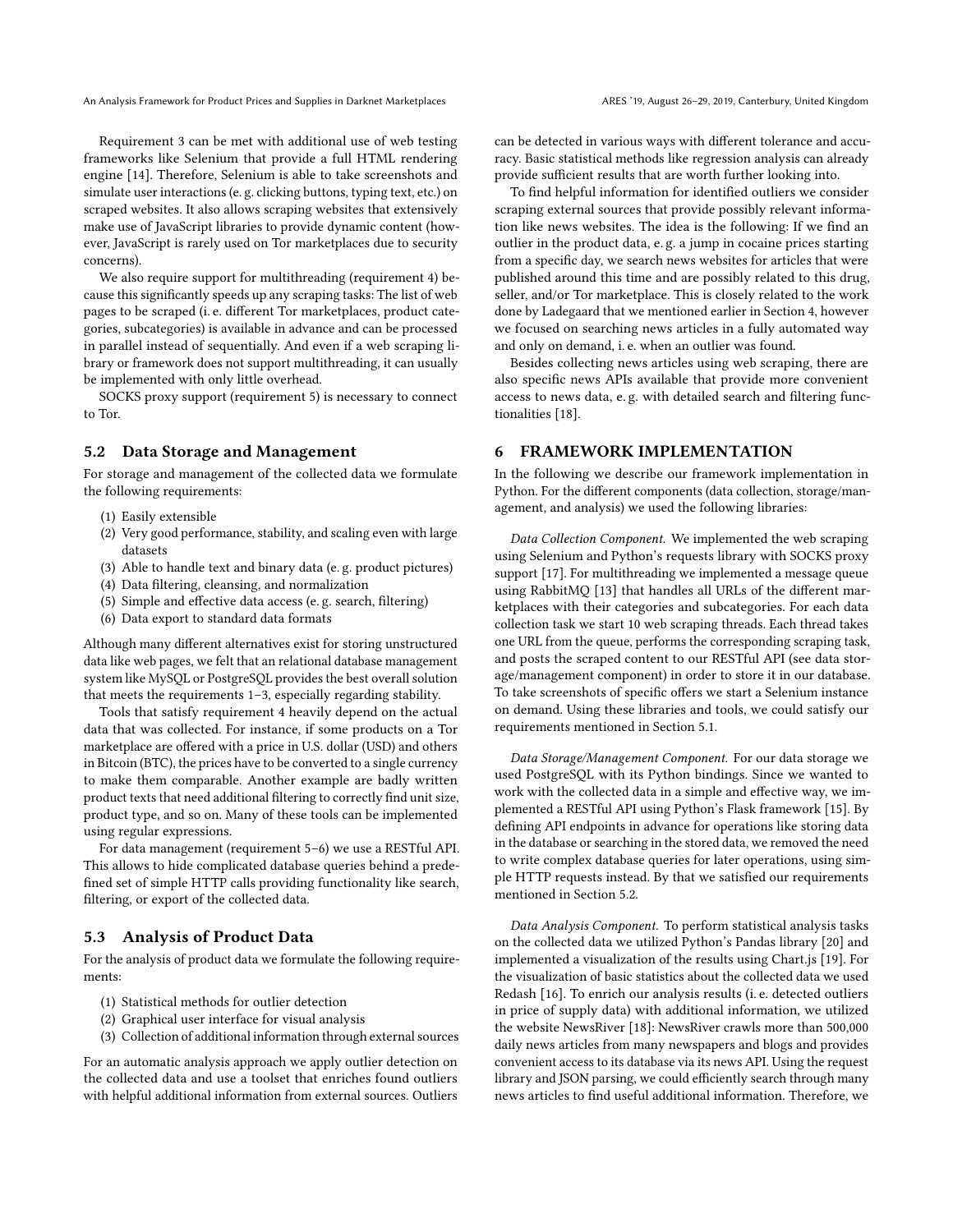An Analysis Framework for Product Prices and Supplies in Darknet Marketplaces **ARES 19, August 26–29, 2019, Canterbury**, United Kingdom

Requirement 3 can be met with additional use of web testing frameworks like Selenium that provide a full HTML rendering engine [\[14\]](#page-6-6). Therefore, Selenium is able to take screenshots and simulate user interactions (e. g. clicking buttons, typing text, etc.) on scraped websites. It also allows scraping websites that extensively make use of JavaScript libraries to provide dynamic content (however, JavaScript is rarely used on Tor marketplaces due to security concerns).

We also require support for multithreading (requirement 4) because this significantly speeds up any scraping tasks: The list of web pages to be scraped (i. e. different Tor marketplaces, product categories, subcategories) is available in advance and can be processed in parallel instead of sequentially. And even if a web scraping library or framework does not support multithreading, it can usually be implemented with only little overhead.

SOCKS proxy support (requirement 5) is necessary to connect to Tor.

#### <span id="page-2-1"></span>5.2 Data Storage and Management

For storage and management of the collected data we formulate the following requirements:

- (1) Easily extensible
- (2) Very good performance, stability, and scaling even with large datasets
- (3) Able to handle text and binary data (e. g. product pictures)
- (4) Data filtering, cleansing, and normalization
- (5) Simple and effective data access (e. g. search, filtering)
- (6) Data export to standard data formats

Although many different alternatives exist for storing unstructured data like web pages, we felt that an relational database management system like MySQL or PostgreSQL provides the best overall solution that meets the requirements 1–3, especially regarding stability.

Tools that satisfy requirement 4 heavily depend on the actual data that was collected. For instance, if some products on a Tor marketplace are offered with a price in U.S. dollar (USD) and others in Bitcoin (BTC), the prices have to be converted to a single currency to make them comparable. Another example are badly written product texts that need additional filtering to correctly find unit size, product type, and so on. Many of these tools can be implemented using regular expressions.

For data management (requirement 5–6) we use a RESTful API. This allows to hide complicated database queries behind a predefined set of simple HTTP calls providing functionality like search, filtering, or export of the collected data.

# <span id="page-2-2"></span>5.3 Analysis of Product Data

For the analysis of product data we formulate the following requirements:

- (1) Statistical methods for outlier detection
- (2) Graphical user interface for visual analysis
- (3) Collection of additional information through external sources

For an automatic analysis approach we apply outlier detection on the collected data and use a toolset that enriches found outliers with helpful additional information from external sources. Outliers can be detected in various ways with different tolerance and accuracy. Basic statistical methods like regression analysis can already provide sufficient results that are worth further looking into.

To find helpful information for identified outliers we consider scraping external sources that provide possibly relevant information like news websites. The idea is the following: If we find an outlier in the product data, e. g. a jump in cocaine prices starting from a specific day, we search news websites for articles that were published around this time and are possibly related to this drug, seller, and/or Tor marketplace. This is closely related to the work done by Ladegaard that we mentioned earlier in Section [4,](#page-1-1) however we focused on searching news articles in a fully automated way and only on demand, i. e. when an outlier was found.

Besides collecting news articles using web scraping, there are also specific news APIs available that provide more convenient access to news data, e. g. with detailed search and filtering functionalities [\[18\]](#page-6-7).

# <span id="page-2-0"></span>6 FRAMEWORK IMPLEMENTATION

In the following we describe our framework implementation in Python. For the different components (data collection, storage/management, and analysis) we used the following libraries:

Data Collection Component. We implemented the web scraping using Selenium and Python's requests library with SOCKS proxy support [\[17\]](#page-6-8). For multithreading we implemented a message queue using RabbitMQ [\[13\]](#page-6-9) that handles all URLs of the different marketplaces with their categories and subcategories. For each data collection task we start 10 web scraping threads. Each thread takes one URL from the queue, performs the corresponding scraping task, and posts the scraped content to our RESTful API (see data storage/management component) in order to store it in our database. To take screenshots of specific offers we start a Selenium instance on demand. Using these libraries and tools, we could satisfy our requirements mentioned in Section [5.1.](#page-1-3)

Data Storage/Management Component. For our data storage we used PostgreSQL with its Python bindings. Since we wanted to work with the collected data in a simple and effective way, we implemented a RESTful API using Python's Flask framework [\[15\]](#page-6-10). By defining API endpoints in advance for operations like storing data in the database or searching in the stored data, we removed the need to write complex database queries for later operations, using simple HTTP requests instead. By that we satisfied our requirements mentioned in Section [5.2.](#page-2-1)

Data Analysis Component. To perform statistical analysis tasks on the collected data we utilized Python's Pandas library [\[20\]](#page-6-11) and implemented a visualization of the results using Chart.js [\[19\]](#page-6-12). For the visualization of basic statistics about the collected data we used Redash [\[16\]](#page-6-13). To enrich our analysis results (i. e. detected outliers in price of supply data) with additional information, we utilized the website NewsRiver [\[18\]](#page-6-7): NewsRiver crawls more than 500,000 daily news articles from many newspapers and blogs and provides convenient access to its database via its news API. Using the request library and JSON parsing, we could efficiently search through many news articles to find useful additional information. Therefore, we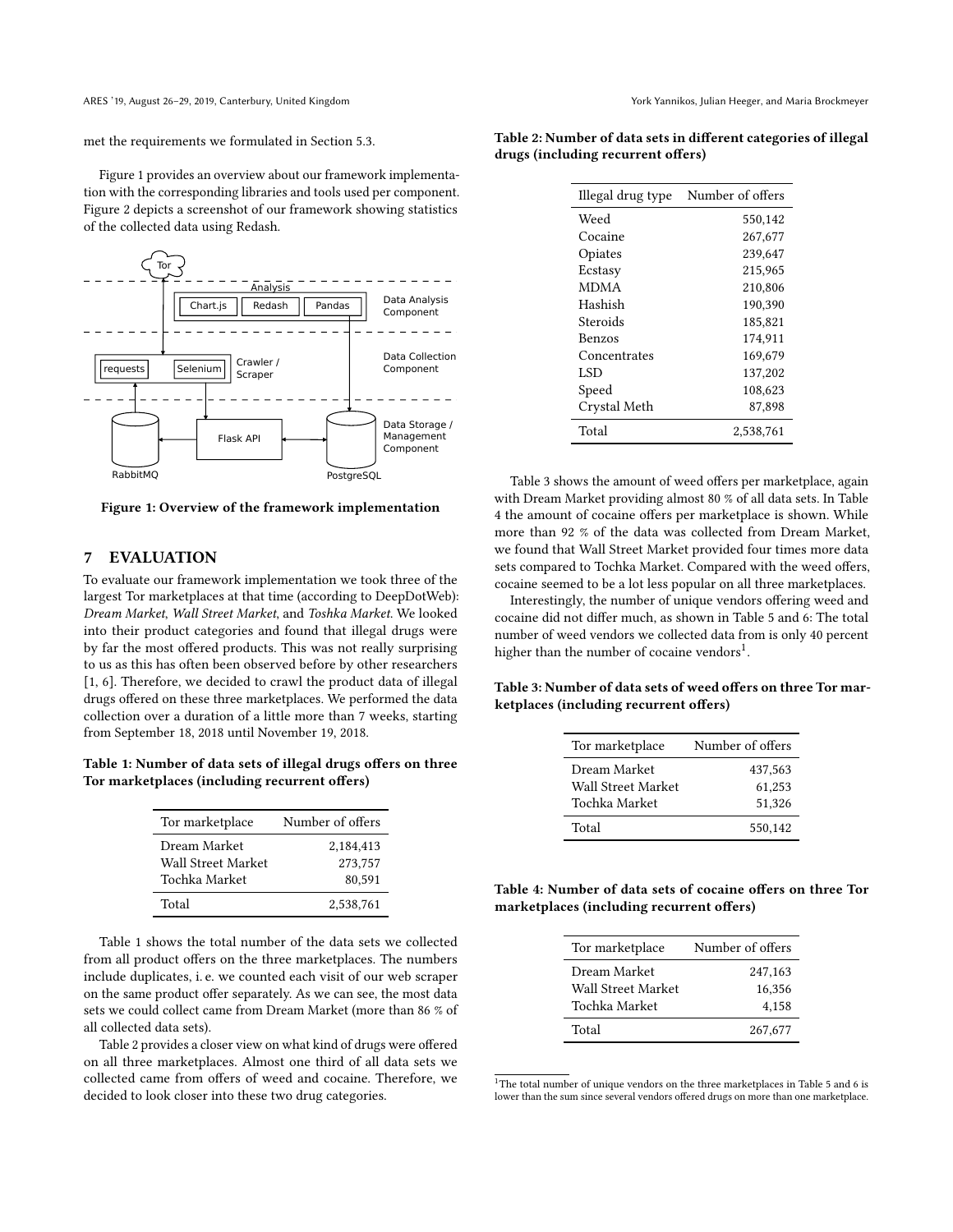met the requirements we formulated in Section [5.3.](#page-2-2)

Figure [1](#page-3-1) provides an overview about our framework implementation with the corresponding libraries and tools used per component. Figure [2](#page-4-1) depicts a screenshot of our framework showing statistics of the collected data using Redash.

<span id="page-3-1"></span>

Figure 1: Overview of the framework implementation

# <span id="page-3-0"></span>7 EVALUATION

To evaluate our framework implementation we took three of the largest Tor marketplaces at that time (according to DeepDotWeb): Dream Market, Wall Street Market, and Toshka Market. We looked into their product categories and found that illegal drugs were by far the most offered products. This was not really surprising to us as this has often been observed before by other researchers [\[1,](#page-5-2) [6\]](#page-5-5). Therefore, we decided to crawl the product data of illegal drugs offered on these three marketplaces. We performed the data collection over a duration of a little more than 7 weeks, starting from September 18, 2018 until November 19, 2018.

<span id="page-3-2"></span>Table 1: Number of data sets of illegal drugs offers on three Tor marketplaces (including recurrent offers)

| Tor marketplace    | Number of offers |
|--------------------|------------------|
| Dream Market       | 2,184,413        |
| Wall Street Market | 273.757          |
| Tochka Market      | 80.591           |
| Total              | 2,538,761        |

Table [1](#page-3-2) shows the total number of the data sets we collected from all product offers on the three marketplaces. The numbers include duplicates, i. e. we counted each visit of our web scraper on the same product offer separately. As we can see, the most data sets we could collect came from Dream Market (more than 86 % of all collected data sets).

Table [2](#page-3-3) provides a closer view on what kind of drugs were offered on all three marketplaces. Almost one third of all data sets we collected came from offers of weed and cocaine. Therefore, we decided to look closer into these two drug categories.

<span id="page-3-3"></span>

|  | Table 2: Number of data sets in different categories of illegal |  |  |
|--|-----------------------------------------------------------------|--|--|
|  | drugs (including recurrent offers)                              |  |  |

| Illegal drug type | Number of offers |
|-------------------|------------------|
| Weed              | 550,142          |
| Cocaine           | 267,677          |
| Opiates           | 239,647          |
| Ecstasy           | 215.965          |
| <b>MDMA</b>       | 210.806          |
| Hashish           | 190.390          |
| Steroids          | 185,821          |
| Benzos            | 174,911          |
| Concentrates      | 169,679          |
| LSD               | 137,202          |
| Speed             | 108,623          |
| Crystal Meth      | 87,898           |
| Total             | 2,538,761        |

Table [3](#page-3-4) shows the amount of weed offers per marketplace, again with Dream Market providing almost 80 % of all data sets. In Table [4](#page-3-5) the amount of cocaine offers per marketplace is shown. While more than 92 % of the data was collected from Dream Market, we found that Wall Street Market provided four times more data sets compared to Tochka Market. Compared with the weed offers, cocaine seemed to be a lot less popular on all three marketplaces.

Interestingly, the number of unique vendors offering weed and cocaine did not differ much, as shown in Table [5](#page-4-2) and [6:](#page-4-3) The total number of weed vendors we collected data from is only 40 percent higher than the number of cocaine vendors $^1$  $^1$ .

<span id="page-3-4"></span>Table 3: Number of data sets of weed offers on three Tor marketplaces (including recurrent offers)

| Tor marketplace    | Number of offers |
|--------------------|------------------|
| Dream Market       | 437,563          |
| Wall Street Market | 61,253           |
| Tochka Market      | 51,326           |
| Total              | 550.142          |

<span id="page-3-5"></span>Table 4: Number of data sets of cocaine offers on three Tor marketplaces (including recurrent offers)

| Tor marketplace    | Number of offers |
|--------------------|------------------|
| Dream Market       | 247,163          |
| Wall Street Market | 16.356           |
| Tochka Market      | 4,158            |
| Total              | 267,677          |

 $1$ <sup>1</sup>The total number of unique vendors on the three marketplaces in Table [5](#page-4-2) and [6](#page-4-3) is lower than the sum since several vendors offered drugs on more than one marketplace.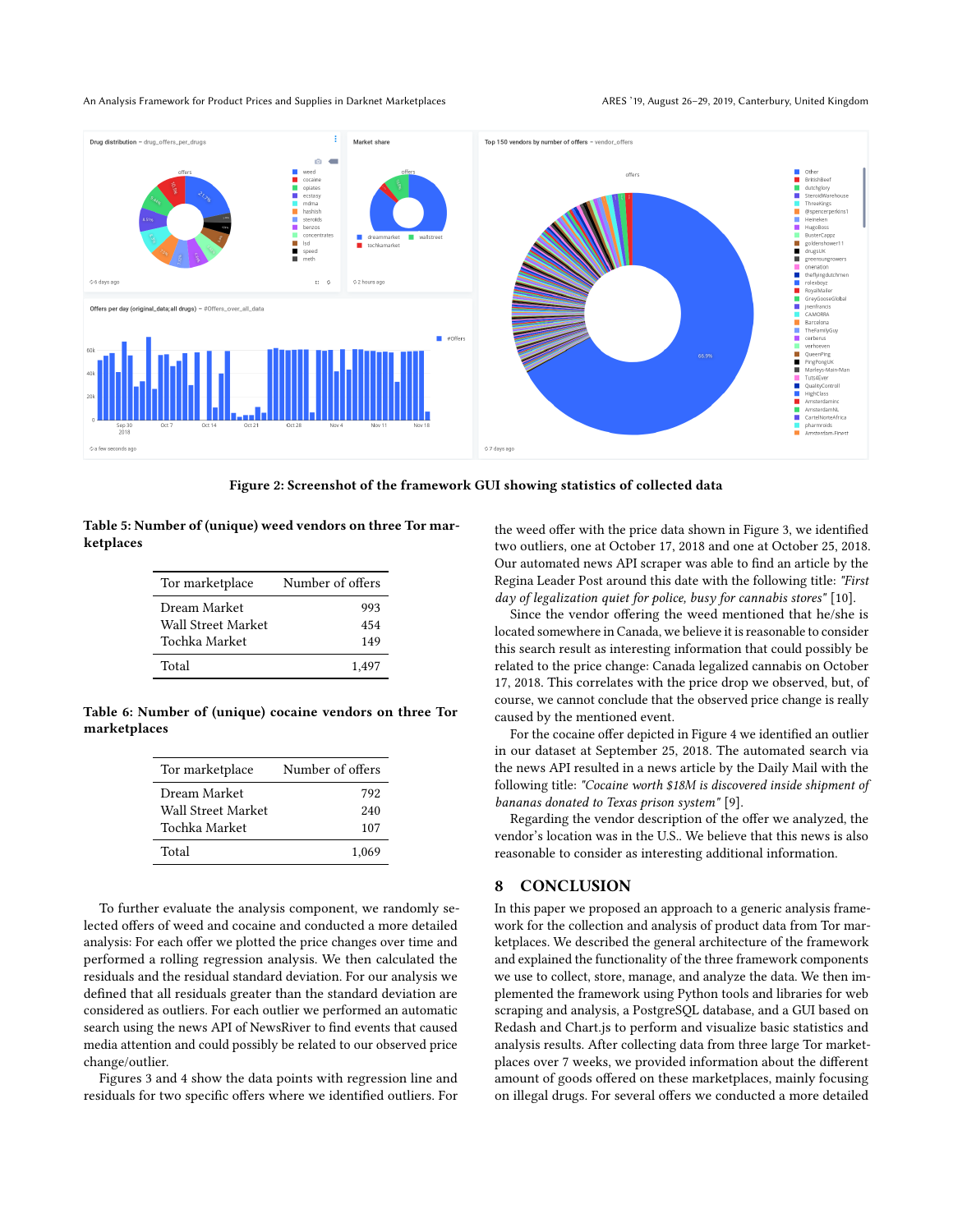#### An Analysis Framework for Product Prices and Supplies in Darknet Marketplaces **ARES 19, August 26–29, 2019, Canterbury**, United Kingdom

<span id="page-4-1"></span>

Figure 2: Screenshot of the framework GUI showing statistics of collected data

<span id="page-4-2"></span>Table 5: Number of (unique) weed vendors on three Tor marketplaces

| Tor marketplace    | Number of offers |
|--------------------|------------------|
| Dream Market       | 993              |
| Wall Street Market | 454              |
| Tochka Market      | 149              |
| Total              | 1.497            |

<span id="page-4-3"></span>Table 6: Number of (unique) cocaine vendors on three Tor marketplaces

| Tor marketplace    | Number of offers |
|--------------------|------------------|
| Dream Market       | 792              |
| Wall Street Market | 240              |
| Tochka Market      | 107              |
| Total              | 1.069            |

To further evaluate the analysis component, we randomly selected offers of weed and cocaine and conducted a more detailed analysis: For each offer we plotted the price changes over time and performed a rolling regression analysis. We then calculated the residuals and the residual standard deviation. For our analysis we defined that all residuals greater than the standard deviation are considered as outliers. For each outlier we performed an automatic search using the news API of NewsRiver to find events that caused media attention and could possibly be related to our observed price change/outlier.

Figures [3](#page-5-6) and [4](#page-5-7) show the data points with regression line and residuals for two specific offers where we identified outliers. For the weed offer with the price data shown in Figure [3,](#page-5-6) we identified two outliers, one at October 17, 2018 and one at October 25, 2018. Our automated news API scraper was able to find an article by the Regina Leader Post around this date with the following title: "First day of legalization quiet for police, busy for cannabis stores" [\[10\]](#page-6-14).

Since the vendor offering the weed mentioned that he/she is located somewhere in Canada, we believe it is reasonable to consider this search result as interesting information that could possibly be related to the price change: Canada legalized cannabis on October 17, 2018. This correlates with the price drop we observed, but, of course, we cannot conclude that the observed price change is really caused by the mentioned event.

For the cocaine offer depicted in Figure [4](#page-5-7) we identified an outlier in our dataset at September 25, 2018. The automated search via the news API resulted in a news article by the Daily Mail with the following title: "Cocaine worth \$18M is discovered inside shipment of bananas donated to Texas prison system" [\[9\]](#page-6-15).

Regarding the vendor description of the offer we analyzed, the vendor's location was in the U.S.. We believe that this news is also reasonable to consider as interesting additional information.

#### <span id="page-4-0"></span>8 CONCLUSION

In this paper we proposed an approach to a generic analysis framework for the collection and analysis of product data from Tor marketplaces. We described the general architecture of the framework and explained the functionality of the three framework components we use to collect, store, manage, and analyze the data. We then implemented the framework using Python tools and libraries for web scraping and analysis, a PostgreSQL database, and a GUI based on Redash and Chart.js to perform and visualize basic statistics and analysis results. After collecting data from three large Tor marketplaces over 7 weeks, we provided information about the different amount of goods offered on these marketplaces, mainly focusing on illegal drugs. For several offers we conducted a more detailed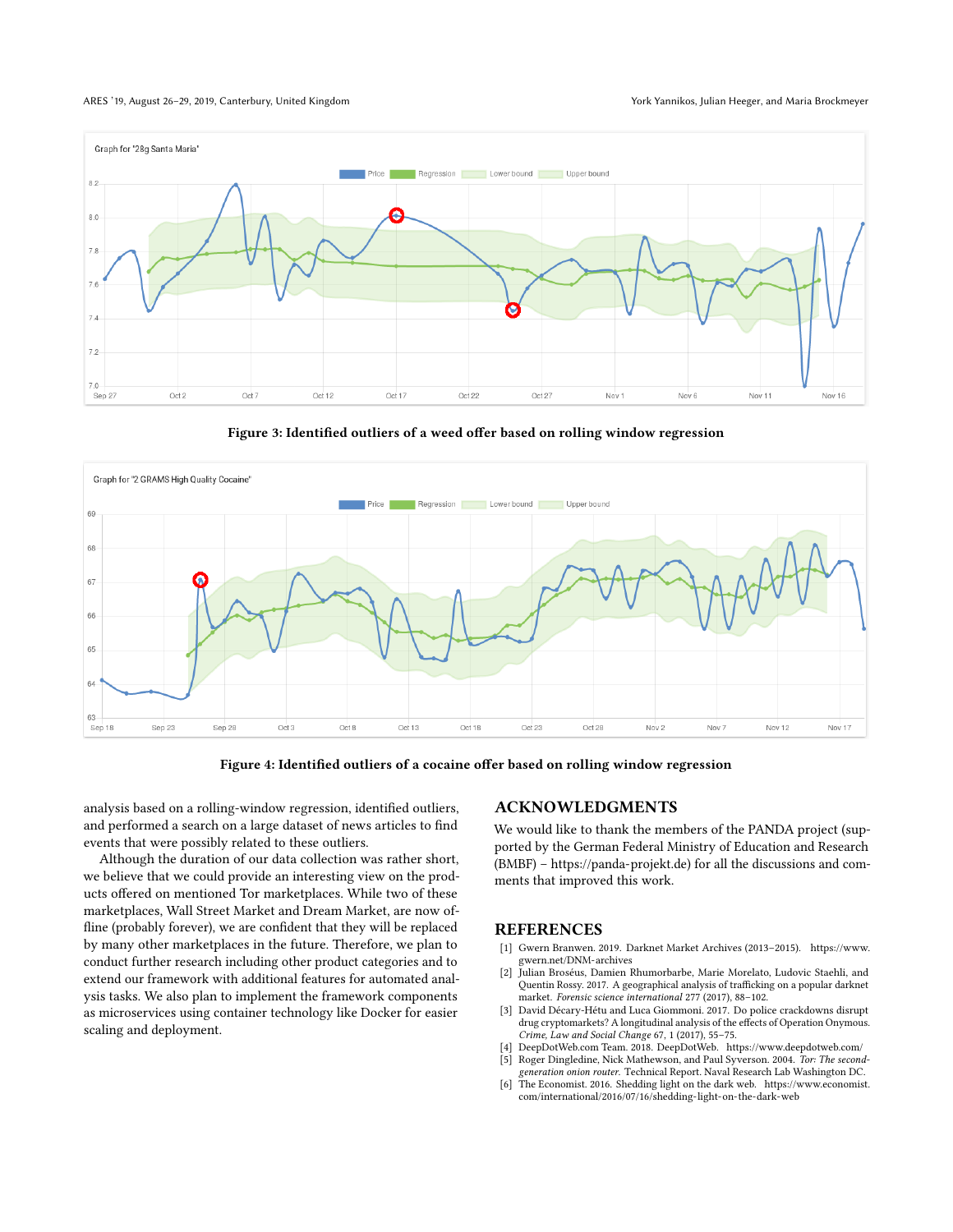#### ARES '19, August 26-29, 2019, Canterbury, United Kingdom York Yannikos, Julian Heeger, and Maria Brockmeyer

<span id="page-5-6"></span>

Figure 3: Identified outliers of a weed offer based on rolling window regression

<span id="page-5-7"></span>



analysis based on a rolling-window regression, identified outliers, and performed a search on a large dataset of news articles to find events that were possibly related to these outliers.

Although the duration of our data collection was rather short, we believe that we could provide an interesting view on the products offered on mentioned Tor marketplaces. While two of these marketplaces, Wall Street Market and Dream Market, are now offline (probably forever), we are confident that they will be replaced by many other marketplaces in the future. Therefore, we plan to conduct further research including other product categories and to extend our framework with additional features for automated analysis tasks. We also plan to implement the framework components as microservices using container technology like Docker for easier scaling and deployment.

## ACKNOWLEDGMENTS

We would like to thank the members of the PANDA project (supported by the German Federal Ministry of Education and Research (BMBF) – [https://panda-projekt.de\)](https://panda-projekt.de) for all the discussions and comments that improved this work.

#### **REFERENCES**

- <span id="page-5-2"></span>[1] Gwern Branwen. 2019. Darknet Market Archives (2013–2015). [https://www.](https://www.gwern.net/DNM-archives) [gwern.net/DNM-archives](https://www.gwern.net/DNM-archives)
- <span id="page-5-3"></span>[2] Julian Broséus, Damien Rhumorbarbe, Marie Morelato, Ludovic Staehli, and Quentin Rossy. 2017. A geographical analysis of trafficking on a popular darknet market. Forensic science international 277 (2017), 88–102.
- <span id="page-5-4"></span>[3] David Décary-Hétu and Luca Giommoni. 2017. Do police crackdowns disrupt drug cryptomarkets? A longitudinal analysis of the effects of Operation Onymous. Crime, Law and Social Change 67, 1 (2017), 55–75.
- <span id="page-5-1"></span><span id="page-5-0"></span>[4] DeepDotWeb.com Team. 2018. DeepDotWeb.<https://www.deepdotweb.com/><br>[5] Roger Dingledine, Nick Mathewson, and Paul Syverson. 2004. Tor: The second Roger Dingledine, Nick Mathewson, and Paul Syverson. 2004. Tor: The secondgeneration onion router. Technical Report. Naval Research Lab Washington DC.
- <span id="page-5-5"></span>[6] The Economist. 2016. Shedding light on the dark web. [https://www.economist.](https://www.economist.com/international/2016/07/16/shedding-light-on-the-dark-web) [com/international/2016/07/16/shedding-light-on-the-dark-web](https://www.economist.com/international/2016/07/16/shedding-light-on-the-dark-web)